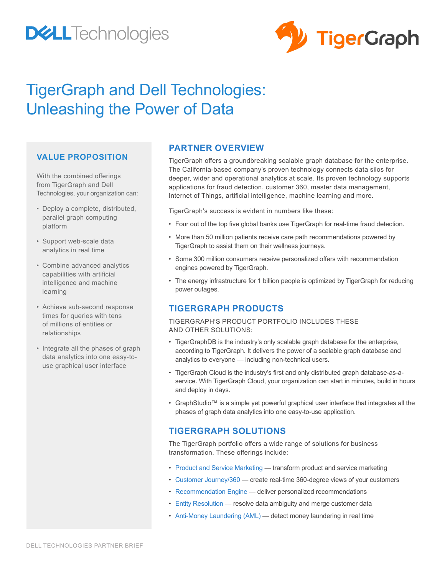# **DELL**Technologies



## TigerGraph and Dell Technologies: Unleashing the Power of Data

## **VALUE PROPOSITION**

With the combined offerings from TigerGraph and Dell Technologies, your organization can:

- Deploy a complete, distributed, parallel graph computing platform
- Support web-scale data analytics in real time
- Combine advanced analytics capabilities with artificial intelligence and machine learning
- Achieve sub-second response times for queries with tens of millions of entities or relationships
- Integrate all the phases of graph data analytics into one easy-touse graphical user interface

## **PARTNER OVERVIEW**

TigerGraph offers a groundbreaking scalable graph database for the enterprise. The California-based company's proven technology connects data silos for deeper, wider and operational analytics at scale. Its proven technology supports applications for fraud detection, customer 360, master data management, Internet of Things, artificial intelligence, machine learning and more.

TigerGraph's success is evident in numbers like these:

- Four out of the top five global banks use TigerGraph for real-time fraud detection.
- More than 50 million patients receive care path recommendations powered by TigerGraph to assist them on their wellness journeys.
- Some 300 million consumers receive personalized offers with recommendation engines powered by TigerGraph.
- The energy infrastructure for 1 billion people is optimized by TigerGraph for reducing power outages.

## **TIGERGRAPH PRODUCTS**

#### TIGERGRAPH'S PRODUCT PORTFOLIO INCLUDES THESE AND OTHER SOLUTIONS:

- TigerGraphDB is the industry's only scalable graph database for the enterprise, according to TigerGraph. It delivers the power of a scalable graph database and analytics to everyone — including non-technical users.
- TigerGraph Cloud is the industry's first and only distributed graph database-as-aservice. With TigerGraph Cloud, your organization can start in minutes, build in hours and deploy in days.
- GraphStudio™ is a simple yet powerful graphical user interface that integrates all the phases of graph data analytics into one easy-to-use application.

## **TIGERGRAPH SOLUTIONS**

The TigerGraph portfolio offers a wide range of solutions for business transformation. These offerings include:

- Product and Service Marketing transform product and service marketing
- Customer Journey/360 create real-time 360-degree views of your customers
- Recommendation Engine deliver personalized recommendations
- Entity Resolution resolve data ambiguity and merge customer data
- Anti-Money Laundering (AML) detect money laundering in real time